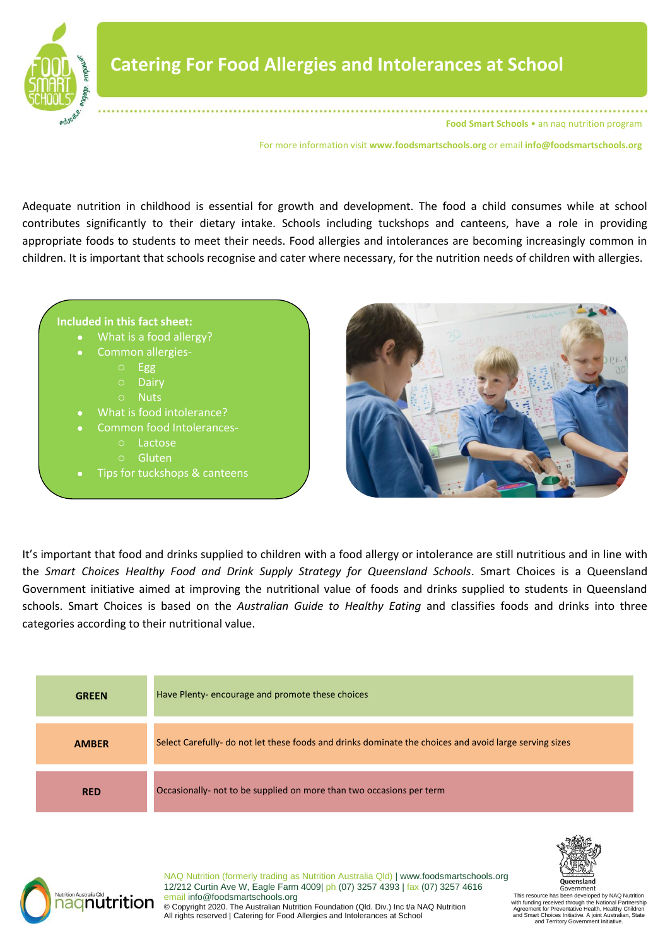

For more information visit **www.foodsmartschools.org** or email **info@foodsmartschools.org**

Adequate nutrition in childhood is essential for growth and development. The food a child consumes while at school contributes significantly to their dietary intake. Schools including tuckshops and canteens, have a role in providing appropriate foods to students to meet their needs. Food allergies and intolerances are becoming increasingly common in children. It is important that schools recognise and cater where necessary, for the nutrition needs of children with allergies.





It's important that food and drinks supplied to children with a food allergy or intolerance are still nutritious and in line with the *Smart Choices Healthy Food and Drink Supply Strategy for Queensland Schools*. Smart Choices is a Queensland Government initiative aimed at improving the nutritional value of foods and drinks supplied to students in Queensland schools. Smart Choices is based on the *Australian Guide to Healthy Eating* and classifies foods and drinks into three categories according to their nutritional value.

| <b>GREEN</b> | Have Plenty-encourage and promote these choices                                                        |
|--------------|--------------------------------------------------------------------------------------------------------|
| <b>AMBER</b> | Select Carefully- do not let these foods and drinks dominate the choices and avoid large serving sizes |
| <b>RED</b>   | Occasionally- not to be supplied on more than two occasions per term                                   |



NAQ Nutrition (formerly trading as Nutrition Australia Qld) | www.foodsmartschools.org 12/212 Curtin Ave W, Eagle Farm 4009| ph (07) 3257 4393 | fax (07) 3257 4616 email info@foodsmartschools.org © Copyright 2020. The Australian Nutrition Foundation (Qld. Div.) Inc t/a NAQ Nutrition All rights reserved | Catering for Food Allergies and Intolerances at School

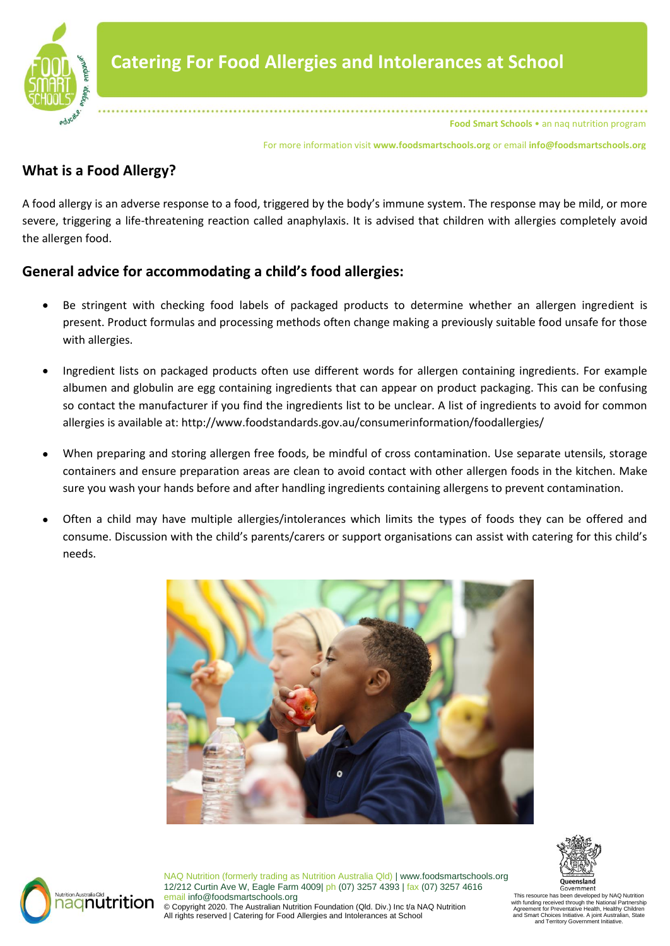

For more information visit **www.foodsmartschools.org** or email **info@foodsmartschools.org**

# **What is a Food Allergy?**

A food allergy is an adverse response to a food, triggered by the body's immune system. The response may be mild, or more severe, triggering a life-threatening reaction called anaphylaxis. It is advised that children with allergies completely avoid the allergen food.

# **General advice for accommodating a child's food allergies:**

- Be stringent with checking food labels of packaged products to determine whether an allergen ingredient is present. Product formulas and processing methods often change making a previously suitable food unsafe for those with allergies.
- Ingredient lists on packaged products often use different words for allergen containing ingredients. For example albumen and globulin are egg containing ingredients that can appear on product packaging. This can be confusing so contact the manufacturer if you find the ingredients list to be unclear. A list of ingredients to avoid for common allergies is available at: http://www.foodstandards.gov.au/consumerinformation/foodallergies/
- When preparing and storing allergen free foods, be mindful of cross contamination. Use separate utensils, storage containers and ensure preparation areas are clean to avoid contact with other allergen foods in the kitchen. Make sure you wash your hands before and after handling ingredients containing allergens to prevent contamination.
- Often a child may have multiple allergies/intolerances which limits the types of foods they can be offered and consume. Discussion with the child's parents/carers or support organisations can assist with catering for this child's needs.





NAQ Nutrition (formerly trading as Nutrition Australia Qld) | www.foodsmartschools.org 12/212 Curtin Ave W, Eagle Farm 4009| ph (07) 3257 4393 | fax (07) 3257 4616 email info@foodsmartschools.org © Copyright 2020. The Australian Nutrition Foundation (Qld. Div.) Inc t/a NAQ Nutrition All rights reserved | Catering for Food Allergies and Intolerances at School

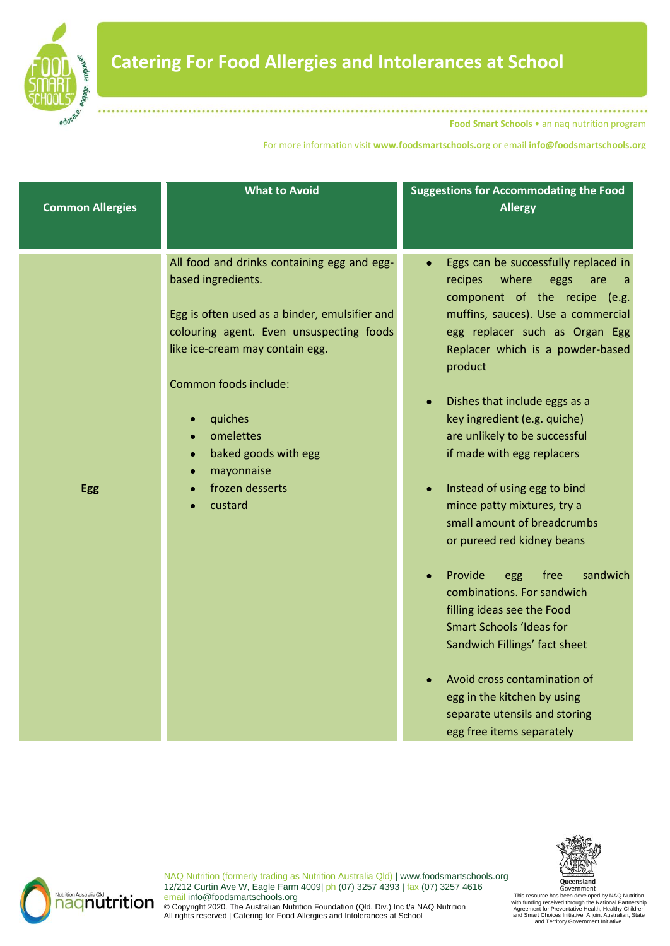

**Nutrition Australia Qld**<br>**nagnutrition** 

**Food Smart Schools** • an naq nutrition program

For more information visit **www.foodsmartschools.org** or email **info@foodsmartschools.org**

| <b>Common Allergies</b> | <b>What to Avoid</b>                                                                                                                                                                                                                                                                                                                | <b>Suggestions for Accommodating the Food</b><br><b>Allergy</b>                                                                                                                                                                                                                                                                                                                                                                                                                                                                                                                                                                                                                                                                                                                                                                            |
|-------------------------|-------------------------------------------------------------------------------------------------------------------------------------------------------------------------------------------------------------------------------------------------------------------------------------------------------------------------------------|--------------------------------------------------------------------------------------------------------------------------------------------------------------------------------------------------------------------------------------------------------------------------------------------------------------------------------------------------------------------------------------------------------------------------------------------------------------------------------------------------------------------------------------------------------------------------------------------------------------------------------------------------------------------------------------------------------------------------------------------------------------------------------------------------------------------------------------------|
| <b>Egg</b>              | All food and drinks containing egg and egg-<br>based ingredients.<br>Egg is often used as a binder, emulsifier and<br>colouring agent. Even unsuspecting foods<br>like ice-cream may contain egg.<br>Common foods include:<br>quiches<br>omelettes<br>baked goods with egg<br>$\bullet$<br>mayonnaise<br>frozen desserts<br>custard | Eggs can be successfully replaced in<br>$\bullet$<br>where<br>recipes<br>eggs<br>are<br>a<br>component of the recipe (e.g.<br>muffins, sauces). Use a commercial<br>egg replacer such as Organ Egg<br>Replacer which is a powder-based<br>product<br>Dishes that include eggs as a<br>$\bullet$<br>key ingredient (e.g. quiche)<br>are unlikely to be successful<br>if made with egg replacers<br>Instead of using egg to bind<br>mince patty mixtures, try a<br>small amount of breadcrumbs<br>or pureed red kidney beans<br>sandwich<br>Provide<br>free<br>egg<br>$\bullet$<br>combinations. For sandwich<br>filling ideas see the Food<br><b>Smart Schools 'Ideas for</b><br>Sandwich Fillings' fact sheet<br>Avoid cross contamination of<br>egg in the kitchen by using<br>separate utensils and storing<br>egg free items separately |



This resource has been developed by NAQ Nutrition<br>with funding received through the National Partnership<br>Agreement for Preventative Health, Healthy Children<br>and Smart Choices Initiative. A joint Australian, State<br>and Terri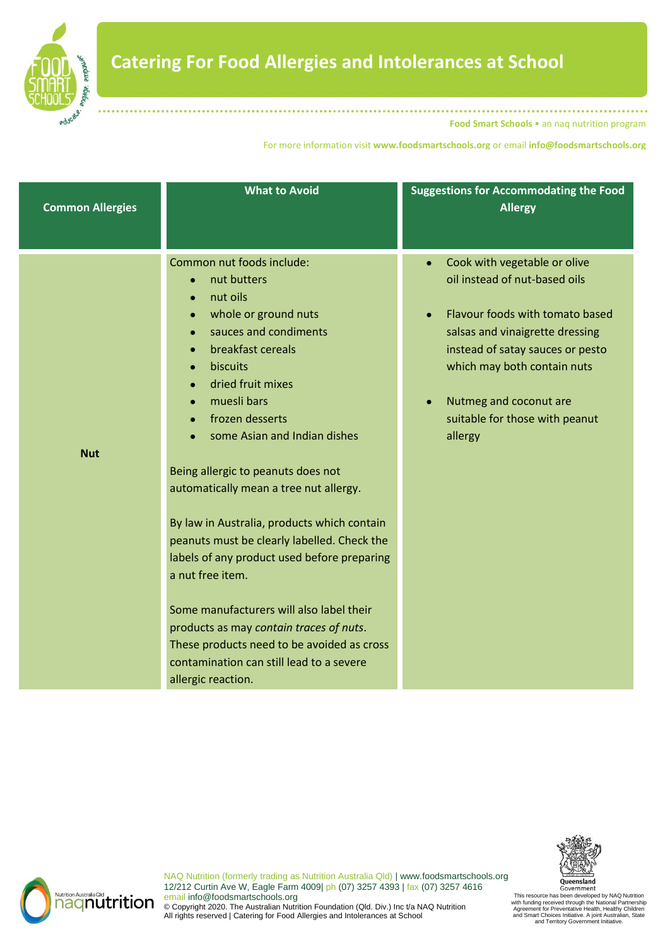

For more information visit **www.foodsmartschools.org** or email **info@foodsmartschools.org**

| <b>Common Allergies</b> | <b>What to Avoid</b>                                                                                                                                                                                                                                                                                                                                                                                                                                                                                                                                                                                                                                                                               | <b>Suggestions for Accommodating the Food</b><br><b>Allergy</b>                                                                                                                                                                                                                                         |
|-------------------------|----------------------------------------------------------------------------------------------------------------------------------------------------------------------------------------------------------------------------------------------------------------------------------------------------------------------------------------------------------------------------------------------------------------------------------------------------------------------------------------------------------------------------------------------------------------------------------------------------------------------------------------------------------------------------------------------------|---------------------------------------------------------------------------------------------------------------------------------------------------------------------------------------------------------------------------------------------------------------------------------------------------------|
| <b>Nut</b>              | Common nut foods include:<br>nut butters<br>$\bullet$<br>nut oils<br>whole or ground nuts<br>sauces and condiments<br>breakfast cereals<br>biscuits<br>dried fruit mixes<br>muesli bars<br>frozen desserts<br>some Asian and Indian dishes<br>Being allergic to peanuts does not<br>automatically mean a tree nut allergy.<br>By law in Australia, products which contain<br>peanuts must be clearly labelled. Check the<br>labels of any product used before preparing<br>a nut free item.<br>Some manufacturers will also label their<br>products as may contain traces of nuts.<br>These products need to be avoided as cross<br>contamination can still lead to a severe<br>allergic reaction. | Cook with vegetable or olive<br>oil instead of nut-based oils<br>Flavour foods with tomato based<br>$\bullet$<br>salsas and vinaigrette dressing<br>instead of satay sauces or pesto<br>which may both contain nuts<br>Nutmeg and coconut are<br>$\bullet$<br>suitable for those with peanut<br>allergy |





NAQ Nutrition (formerly trading as Nutrition Australia Qld) | www.foodsmartschools.org 12/212 Curtin Ave W, Eagle Farm 4009| ph (07) 3257 4393 | fax (07) 3257 4616 email info@foodsmartschools.org © Copyright 2020. The Australian Nutrition Foundation (Qld. Div.) Inc t/a NAQ Nutrition All rights reserved | Catering for Food Allergies and Intolerances at School

Government<br>This resource has been developed by NAQ Nutrition with funding received through the National Partnership<br>Agreement for Preventative Health, Healthy Children<br>and Smart Choices Initiative.<br>and Territory Government Initiative.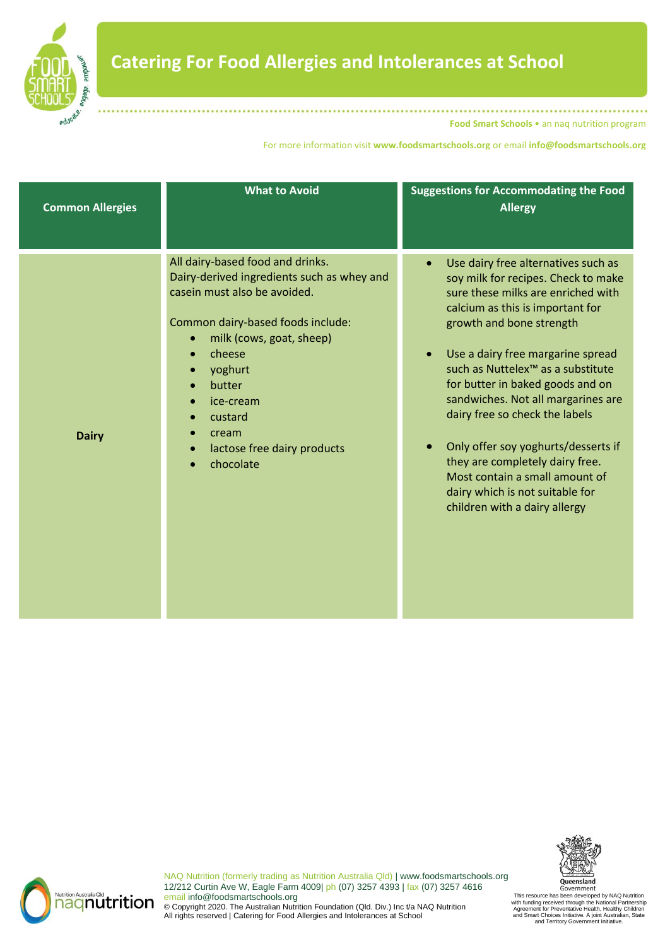

For more information visit **www.foodsmartschools.org** or email **info@foodsmartschools.org**

| <b>Common Allergies</b> | <b>What to Avoid</b>                                                                                                                                                                                                                                                                                     | <b>Suggestions for Accommodating the Food</b><br><b>Allergy</b>                                                                                                                                                                                                                                                                                                                                                                                                                                                                                                                              |
|-------------------------|----------------------------------------------------------------------------------------------------------------------------------------------------------------------------------------------------------------------------------------------------------------------------------------------------------|----------------------------------------------------------------------------------------------------------------------------------------------------------------------------------------------------------------------------------------------------------------------------------------------------------------------------------------------------------------------------------------------------------------------------------------------------------------------------------------------------------------------------------------------------------------------------------------------|
| <b>Dairy</b>            | All dairy-based food and drinks.<br>Dairy-derived ingredients such as whey and<br>casein must also be avoided.<br>Common dairy-based foods include:<br>milk (cows, goat, sheep)<br>cheese<br>yoghurt<br>butter<br>ice-cream<br>custard<br>cream<br>lactose free dairy products<br>$\bullet$<br>chocolate | Use dairy free alternatives such as<br>$\bullet$<br>soy milk for recipes. Check to make<br>sure these milks are enriched with<br>calcium as this is important for<br>growth and bone strength<br>Use a dairy free margarine spread<br>$\bullet$<br>such as Nuttelex <sup>™</sup> as a substitute<br>for butter in baked goods and on<br>sandwiches. Not all margarines are<br>dairy free so check the labels<br>Only offer soy yoghurts/desserts if<br>they are completely dairy free.<br>Most contain a small amount of<br>dairy which is not suitable for<br>children with a dairy allergy |





This resource has been developed by NAQ Nutrition<br>with funding received through the National Partnership<br>Agreement for Preventative Health, Healthy Children<br>and Smart Choices Initiative. A joint Australian, State<br>and Terri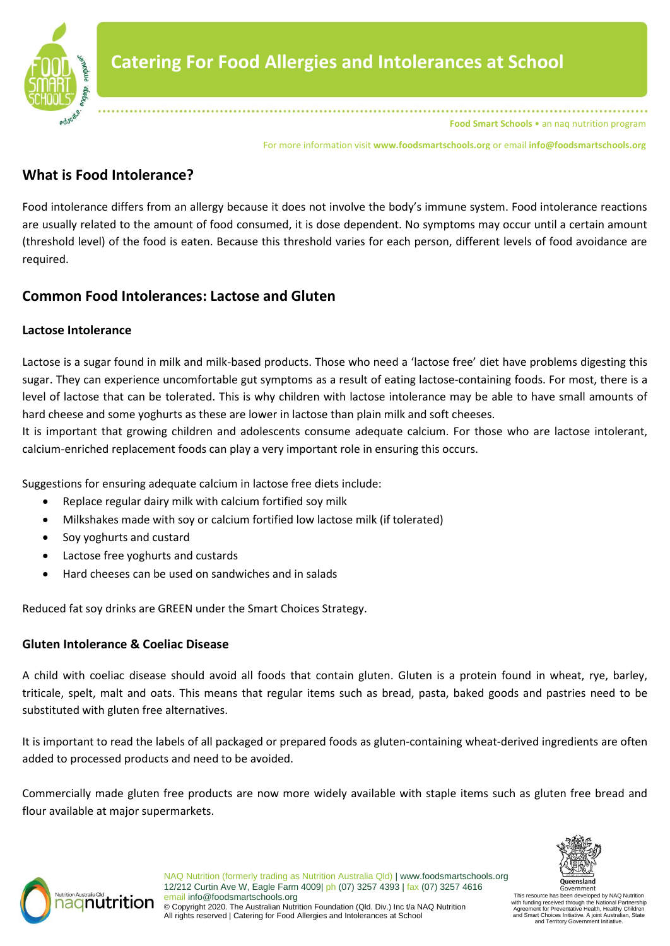

For more information visit **www.foodsmartschools.org** or email **info@foodsmartschools.org**

## **What is Food Intolerance?**

Food intolerance differs from an allergy because it does not involve the body's immune system. Food intolerance reactions are usually related to the amount of food consumed, it is dose dependent. No symptoms may occur until a certain amount (threshold level) of the food is eaten. Because this threshold varies for each person, different levels of food avoidance are required.

## **Common Food Intolerances: Lactose and Gluten**

### **Lactose Intolerance**

Lactose is a sugar found in milk and milk-based products. Those who need a 'lactose free' diet have problems digesting this sugar. They can experience uncomfortable gut symptoms as a result of eating lactose-containing foods. For most, there is a level of lactose that can be tolerated. This is why children with lactose intolerance may be able to have small amounts of hard cheese and some yoghurts as these are lower in lactose than plain milk and soft cheeses.

It is important that growing children and adolescents consume adequate calcium. For those who are lactose intolerant, calcium-enriched replacement foods can play a very important role in ensuring this occurs.

Suggestions for ensuring adequate calcium in lactose free diets include:

- Replace regular dairy milk with calcium fortified soy milk
- Milkshakes made with soy or calcium fortified low lactose milk (if tolerated)
- Soy yoghurts and custard
- Lactose free yoghurts and custards
- Hard cheeses can be used on sandwiches and in salads

Reduced fat soy drinks are GREEN under the Smart Choices Strategy.

### **Gluten Intolerance & Coeliac Disease**

A child with coeliac disease should avoid all foods that contain gluten. Gluten is a protein found in wheat, rye, barley, triticale, spelt, malt and oats. This means that regular items such as bread, pasta, baked goods and pastries need to be substituted with gluten free alternatives.

It is important to read the labels of all packaged or prepared foods as gluten-containing wheat-derived ingredients are often added to processed products and need to be avoided.

Commercially made gluten free products are now more widely available with staple items such as gluten free bread and flour available at major supermarkets.





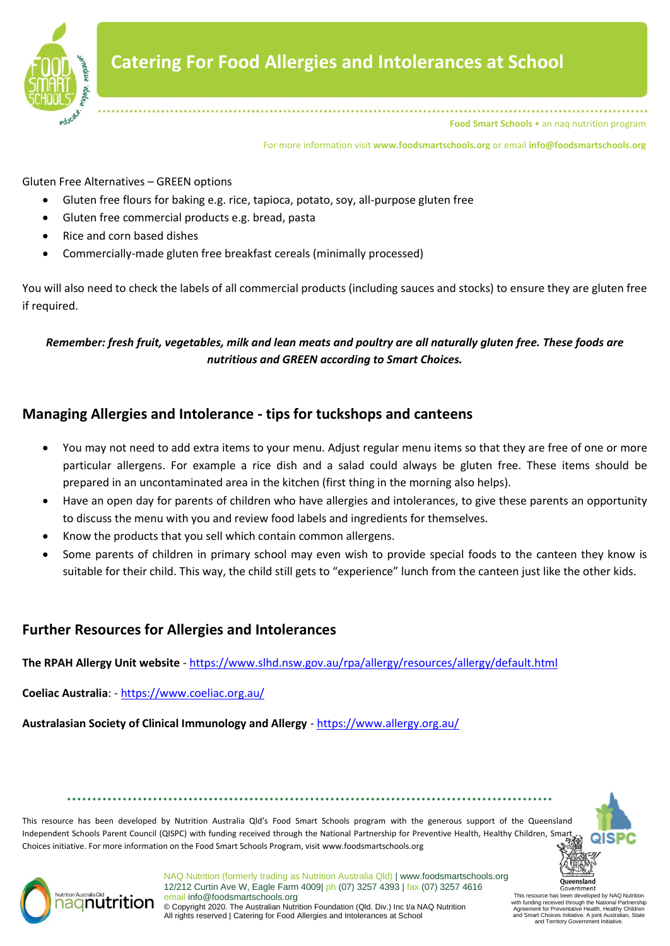

For more information visit **www.foodsmartschools.org** or email **info@foodsmartschools.org**

Gluten Free Alternatives – GREEN options

- Gluten free flours for baking e.g. rice, tapioca, potato, soy, all-purpose gluten free
- Gluten free commercial products e.g. bread, pasta
- Rice and corn based dishes
- Commercially-made gluten free breakfast cereals (minimally processed)

You will also need to check the labels of all commercial products (including sauces and stocks) to ensure they are gluten free if required.

### *Remember: fresh fruit, vegetables, milk and lean meats and poultry are all naturally gluten free. These foods are nutritious and GREEN according to Smart Choices.*

## **Managing Allergies and Intolerance - tips for tuckshops and canteens**

- You may not need to add extra items to your menu. Adjust regular menu items so that they are free of one or more particular allergens. For example a rice dish and a salad could always be gluten free. These items should be prepared in an uncontaminated area in the kitchen (first thing in the morning also helps).
- Have an open day for parents of children who have allergies and intolerances, to give these parents an opportunity to discuss the menu with you and review food labels and ingredients for themselves.
- Know the products that you sell which contain common allergens.
- Some parents of children in primary school may even wish to provide special foods to the canteen they know is suitable for their child. This way, the child still gets to "experience" lunch from the canteen just like the other kids.

## **Further Resources for Allergies and Intolerances**

**The RPAH Allergy Unit website** - <https://www.slhd.nsw.gov.au/rpa/allergy/resources/allergy/default.html>

**Coeliac Australia**: - <https://www.coeliac.org.au/>

**Australasian Society of Clinical Immunology and Allergy** - <https://www.allergy.org.au/>

This resource has been developed by Nutrition Australia Qld's Food Smart Schools program with the generous support of the Queensland Independent Schools Parent Council (QISPC) with funding received through the National Partnership for Preventive Health, Healthy Children, Smart Choices initiative. For more information on the Food Smart Schools Program, visit www.foodsmartschools.org



In developed by NAQ Nutrition

with funding received through the National Partnership Agreement for Preventative Health, Healthy Children and Smart Choices Initiative. A joint Australian, State and Territory Government Initiative.



NAQ Nutrition (formerly trading as Nutrition Australia Qld) | www.foodsmartschools.org 12/212 Curtin Ave W, Eagle Farm 4009| ph (07) 3257 4393 | fax (07) 3257 4616 email info@foodsmartschools.org © Copyright 2020. The Australian Nutrition Foundation (Qld. Div.) Inc t/a NAQ Nutrition All rights reserved | Catering for Food Allergies and Intolerances at School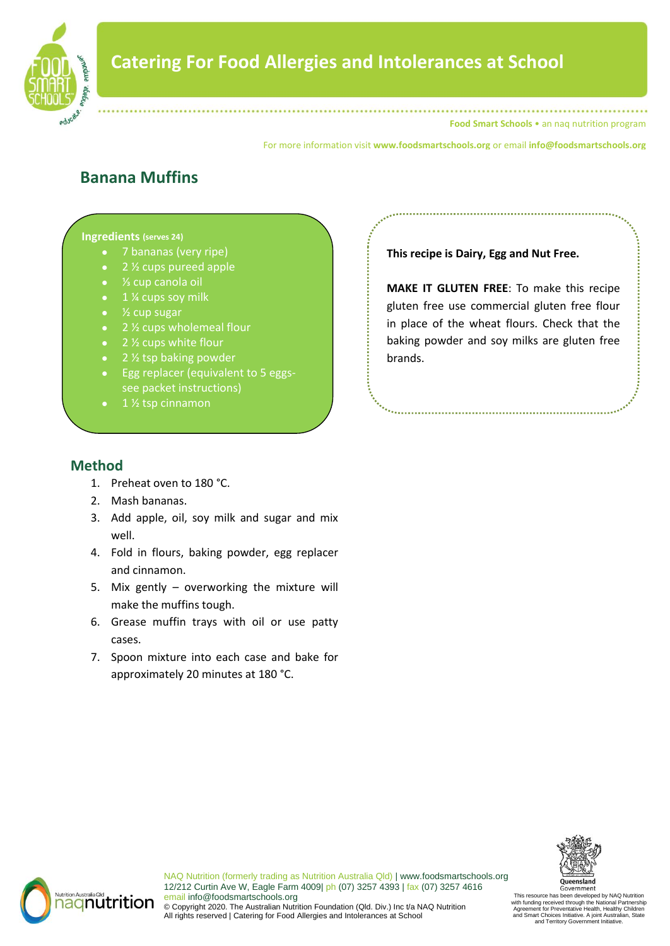

For more information visit **www.foodsmartschools.org** or email **info@foodsmartschools.org**

# **Banana Muffins**

#### **Ingredients (serves 24)**

- 7 bananas (very ripe)
- 2 <sup>1</sup>/<sub>2</sub> cups pureed apple
- ⅓ cup canola oil
- 1 ¼ cups soy milk
- $\frac{1}{2}$  cup sugar
- 2 % cups wholemeal flour
- $2\frac{1}{2}$  cups white flour
- 2 % tsp baking powder
- Egg replacer (equivalent to 5 eggssee packet instructions)
- 

## **This recipe is Dairy, Egg and Nut Free.**

**MAKE IT GLUTEN FREE**: To make this recipe gluten free use commercial gluten free flour in place of the wheat flours. Check that the baking powder and soy milks are gluten free brands.

## **Method**

- 1. Preheat oven to 180 °C.
- 2. Mash bananas.
- 3. Add apple, oil, soy milk and sugar and mix well.
- 4. Fold in flours, baking powder, egg replacer and cinnamon.
- 5. Mix gently overworking the mixture will make the muffins tough.
- 6. Grease muffin trays with oil or use patty cases.
- 7. Spoon mixture into each case and bake for approximately 20 minutes at 180 °C.





NAQ Nutrition (formerly trading as Nutrition Australia Qld) | www.foodsmartschools.org 12/212 Curtin Ave W, Eagle Farm 4009| ph (07) 3257 4393 | fax (07) 3257 4616 email info@foodsmartschools.org © Copyright 2020. The Australian Nutrition Foundation (Qld. Div.) Inc t/a NAQ Nutrition All rights reserved | Catering for Food Allergies and Intolerances at School